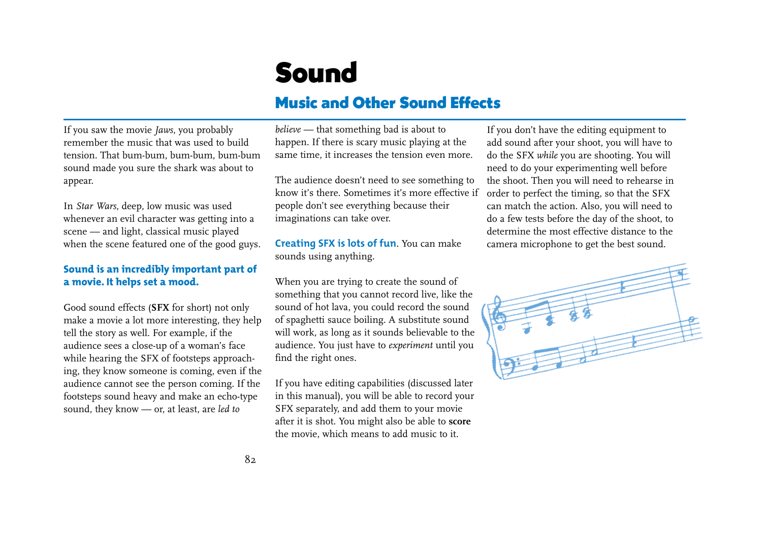# Sound

# Music and Other Sound Effects

If you saw the movie *Jaws*, you probably remember the music that was used to build tension. That bum-bum, bum-bum, bum-bum sound made you sure the shark was about to appear.

In *Star Wars*, deep, low music was used whenever an evil character was getting into a scene — and light, classical music played when the scene featured one of the good guys.

#### **Sound is an incredibly important part of a movie. It helps set a mood.**

Good sound effects (**SFX** for short) not only make a movie a lot more interesting, they help tell the story as well. For example, if the audience sees a close-up of a woman's face while hearing the SFX of footsteps approaching, they know someone is coming, even if the audience cannot see the person coming. If the footsteps sound heavy and make an echo-type sound, they know — or, at least, are *led to*

*believe* — that something bad is about to happen. If there is scary music playing at the same time, it increases the tension even more.

The audience doesn't need to see something to know it's there. Sometimes it's more effective if people don't see everything because their imaginations can take over.

#### **Creating SFX is lots of fun**. You can make sounds using anything.

When you are trying to create the sound of something that you cannot record live, like the sound of hot lava, you could record the sound of spaghetti sauce boiling. A substitute sound will work, as long as it sounds believable to the audience. You just have to *experiment* until you find the right ones.

If you have editing capabilities (discussed later in this manual), you will be able to record your SFX separately, and add them to your movie after it is shot. You might also be able to **score** the movie, which means to add music to it.

If you don't have the editing equipment to add sound after your shoot, you will have to do the SFX *while* you are shooting. You will need to do your experimenting well before the shoot. Then you will need to rehearse in order to perfect the timing, so that the SFX can match the action. Also, you will need to do a few tests before the day of the shoot, to determine the most effective distance to the camera microphone to get the best sound.

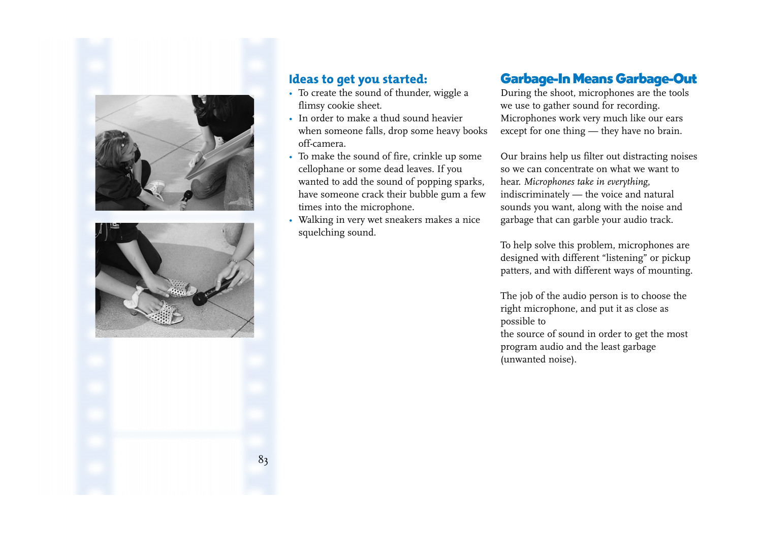



83

#### flimsy cookie sheet. • In order to make a thud sound heavier

when someone falls, drop some heavy books off-camera.

• To create the sound of thunder, wiggle a

**Ideas to get you started:**

- To make the sound of fire, crinkle up some cellophane or some dead leaves. If you wanted to add the sound of popping sparks, have someone crack their bubble gum a few times into the microphone.
- Walking in very wet sneakers makes a nice squelching sound.

## Garbage-In Means Garbage-Out

During the shoot, microphones are the tools we use to gather sound for recording. Microphones work very much like our ears except for one thing — they have no brain.

Our brains help us filter out distracting noises so we can concentrate on what we want to hear. *Microphones take in everything*, indiscriminately — the voice and natural sounds you want, along with the noise and garbage that can garble your audio track.

To help solve this problem, microphones are designed with different "listening" or pickup patters, and with different ways of mounting.

The job of the audio person is to choose the right microphone, and put it as close as possible to the source of sound in order to get the most program audio and the least garbage (unwanted noise).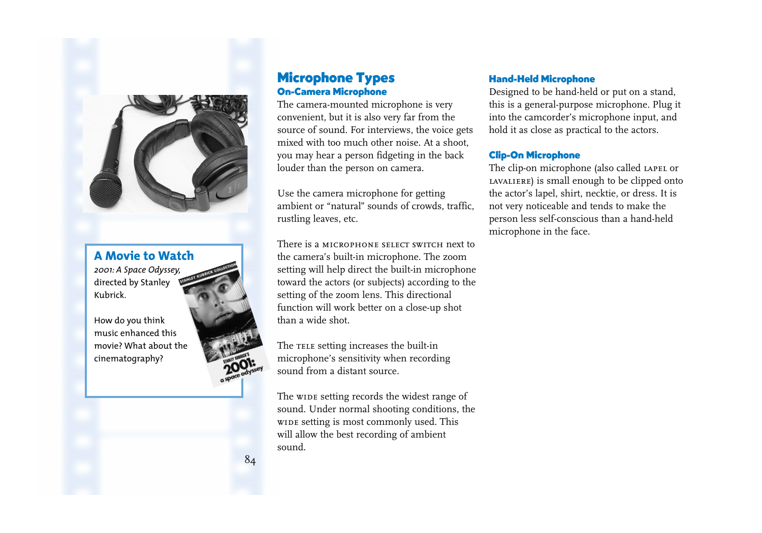

### **A Movie to Watch**

*2001: A Space Odyssey,* directed by Stanley Kubrick.

How do you think music enhanced this movie? What about the cinematography?

84

### Microphone Types On-Camera Microphone

The camera-mounted microphone is very convenient, but it is also very far from the source of sound. For interviews, the voice gets mixed with too much other noise. At a shoot, you may hear a person fidgeting in the back louder than the person on camera.

Use the camera microphone for getting ambient or "natural" sounds of crowds, traffic, rustling leaves, etc.

There is a MICROPHONE SELECT SWITCH next to the camera's built-in microphone. The zoom setting will help direct the built-in microphone toward the actors (or subjects) according to the setting of the zoom lens. This directional function will work better on a close-up shot than a wide shot.

The TELE setting increases the built-in microphone's sensitivity when recording sound from a distant source.

The wide setting records the widest range of sound. Under normal shooting conditions, the wide setting is most commonly used. This will allow the best recording of ambient sound.

#### Hand-Held Microphone

Designed to be hand-held or put on a stand, this is a general-purpose microphone. Plug it into the camcorder's microphone input, and hold it as close as practical to the actors.

#### Clip-On Microphone

The clip-on microphone (also called LAPEL or lavaliere) is small enough to be clipped onto the actor's lapel, shirt, necktie, or dress. It is not very noticeable and tends to make the person less self-conscious than a hand-held microphone in the face.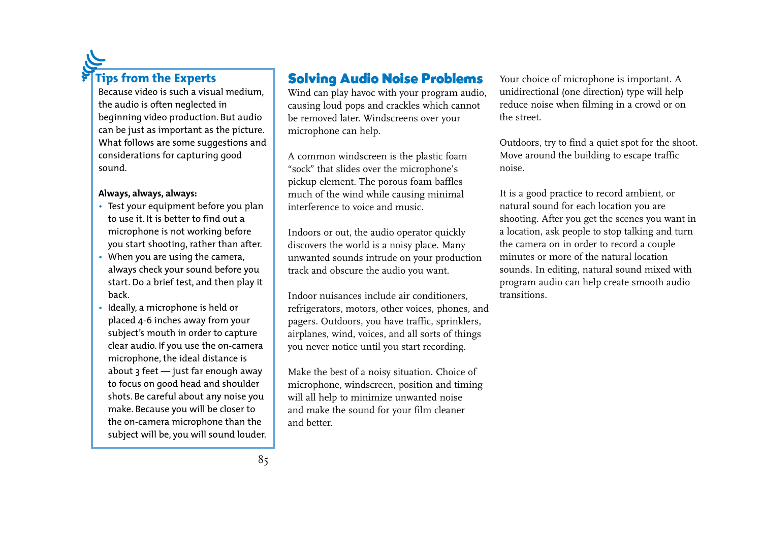# o**Tips from the Experts**

Because video is such a visual medium, the audio is often neglected in beginning video production. But audio can be just as important as the picture. What follows are some suggestions and considerations for capturing good sound.

#### **Always, always, always:**

- Test your equipment before you plan to use it. It is better to find out a microphone is not working before you start shooting, rather than after.
- When you are using the camera, always check your sound before you start. Do a brief test, and then play it back.
- Ideally, a microphone is held or placed 4-6 inches away from your subject's mouth in order to capture clear audio. If you use the on-camera microphone, the ideal distance is about 3 feet — just far enough away to focus on good head and shoulder shots. Be careful about any noise you make. Because you will be closer to the on-camera microphone than the subject will be, you will sound louder.

# Solving Audio Noise Problems

Wind can play havoc with your program audio, causing loud pops and crackles which cannot be removed later. Windscreens over your microphone can help.

A common windscreen is the plastic foam "sock" that slides over the microphone's pickup element. The porous foam baffles much of the wind while causing minimal interference to voice and music.

Indoors or out, the audio operator quickly discovers the world is a noisy place. Many unwanted sounds intrude on your production track and obscure the audio you want.

Indoor nuisances include air conditioners, refrigerators, motors, other voices, phones, and pagers. Outdoors, you have traffic, sprinklers, airplanes, wind, voices, and all sorts of things you never notice until you start recording.

Make the best of a noisy situation. Choice of microphone, windscreen, position and timing will all help to minimize unwanted noise and make the sound for your film cleaner and better.

Your choice of microphone is important. A unidirectional (one direction) type will help reduce noise when filming in a crowd or on the street.

Outdoors, try to find a quiet spot for the shoot. Move around the building to escape traffic noise.

It is a good practice to record ambient, or natural sound for each location you are shooting. After you get the scenes you want in a location, ask people to stop talking and turn the camera on in order to record a couple minutes or more of the natural location sounds. In editing, natural sound mixed with program audio can help create smooth audio transitions.